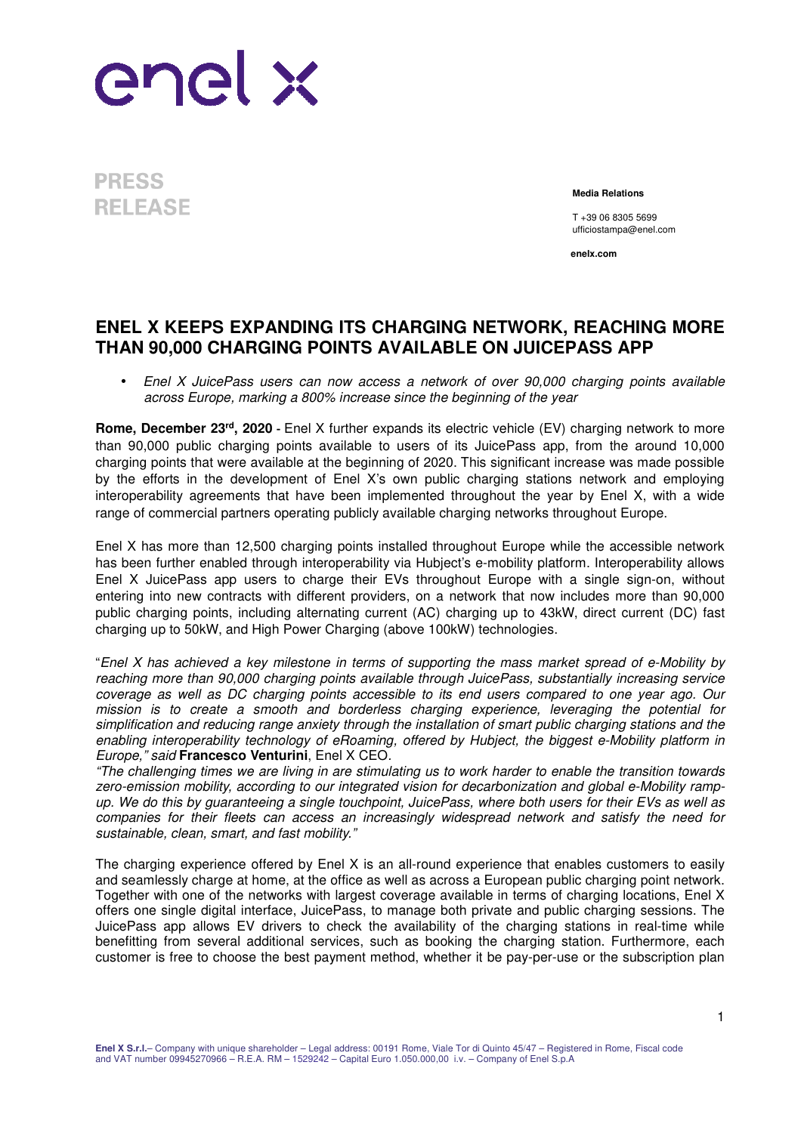

**PRESS RELEASE** 

**Media Relations**

T +39 06 8305 5699 ufficiostampa@enel.com

**enelx.com**

## **ENEL X KEEPS EXPANDING ITS CHARGING NETWORK, REACHING MORE THAN 90,000 CHARGING POINTS AVAILABLE ON JUICEPASS APP**

• Enel X JuicePass users can now access a network of over 90,000 charging points available across Europe, marking a 800% increase since the beginning of the year

**Rome, December 23rd, 2020 -** Enel X further expands its electric vehicle (EV) charging network to more than 90,000 public charging points available to users of its JuicePass app, from the around 10,000 charging points that were available at the beginning of 2020. This significant increase was made possible by the efforts in the development of Enel X's own public charging stations network and employing interoperability agreements that have been implemented throughout the year by Enel X, with a wide range of commercial partners operating publicly available charging networks throughout Europe.

Enel X has more than 12,500 charging points installed throughout Europe while the accessible network has been further enabled through interoperability via Hubject's e-mobility platform. Interoperability allows Enel X JuicePass app users to charge their EVs throughout Europe with a single sign-on, without entering into new contracts with different providers, on a network that now includes more than 90,000 public charging points, including alternating current (AC) charging up to 43kW, direct current (DC) fast charging up to 50kW, and High Power Charging (above 100kW) technologies.

"Enel X has achieved a key milestone in terms of supporting the mass market spread of e-Mobility by reaching more than 90,000 charging points available through JuicePass, substantially increasing service coverage as well as DC charging points accessible to its end users compared to one year ago. Our mission is to create a smooth and borderless charging experience, leveraging the potential for simplification and reducing range anxiety through the installation of smart public charging stations and the enabling interoperability technology of eRoaming, offered by Hubject, the biggest e-Mobility platform in Europe," said **Francesco Venturini**, Enel X CEO.

"The challenging times we are living in are stimulating us to work harder to enable the transition towards zero-emission mobility, according to our integrated vision for decarbonization and global e-Mobility rampup. We do this by guaranteeing a single touchpoint, JuicePass, where both users for their EVs as well as companies for their fleets can access an increasingly widespread network and satisfy the need for sustainable, clean, smart, and fast mobility."

The charging experience offered by Enel X is an all-round experience that enables customers to easily and seamlessly charge at home, at the office as well as across a European public charging point network. Together with one of the networks with largest coverage available in terms of charging locations, Enel X offers one single digital interface, JuicePass, to manage both private and public charging sessions. The JuicePass app allows EV drivers to check the availability of the charging stations in real-time while benefitting from several additional services, such as booking the charging station. Furthermore, each customer is free to choose the best payment method, whether it be pay-per-use or the subscription plan